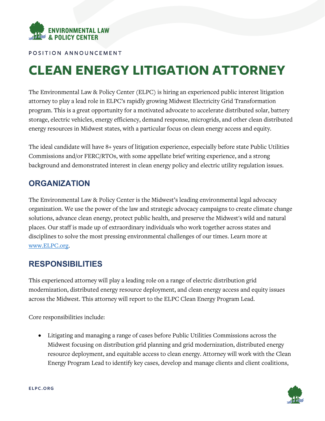

POSITION ANNOUNCEMENT

# **CLEAN ENERGY LITIGATION ATTORNEY**

The Environmental Law & Policy Center (ELPC) is hiring an experienced public interest litigation attorney to play a lead role in ELPC's rapidly growing Midwest Electricity Grid Transformation program. This is a great opportunity for a motivated advocate to accelerate distributed solar, battery storage, electric vehicles, energy efficiency, demand response, microgrids, and other clean distributed energy resources in Midwest states, with a particular focus on clean energy access and equity.

The ideal candidate will have 8+ years of litigation experience, especially before state Public Utilities Commissions and/or FERC/RTOs, with some appellate brief writing experience, and a strong background and demonstrated interest in clean energy policy and electric utility regulation issues.

#### **ORGANIZATION**

The Environmental Law & Policy Center is the Midwest's leading environmental legal advocacy organization. We use the power of the law and strategic advocacy campaigns to create climate change solutions, advance clean energy, protect public health, and preserve the Midwest's wild and natural places. Our staff is made up of extraordinary individuals who work together across states and disciplines to solve the most pressing environmental challenges of our times. Learn more at [www.ELPC.org.](http://www.elpc.org/)

#### **RESPONSIBILITIES**

This experienced attorney will play a leading role on a range of electric distribution grid modernization, distributed energy resource deployment, and clean energy access and equity issues across the Midwest. This attorney will report to the ELPC Clean Energy Program Lead.

Core responsibilities include:

• Litigating and managing a range of cases before Public Utilities Commissions across the Midwest focusing on distribution grid planning and grid modernization, distributed energy resource deployment, and equitable access to clean energy. Attorney will work with the Clean Energy Program Lead to identify key cases, develop and manage clients and client coalitions,